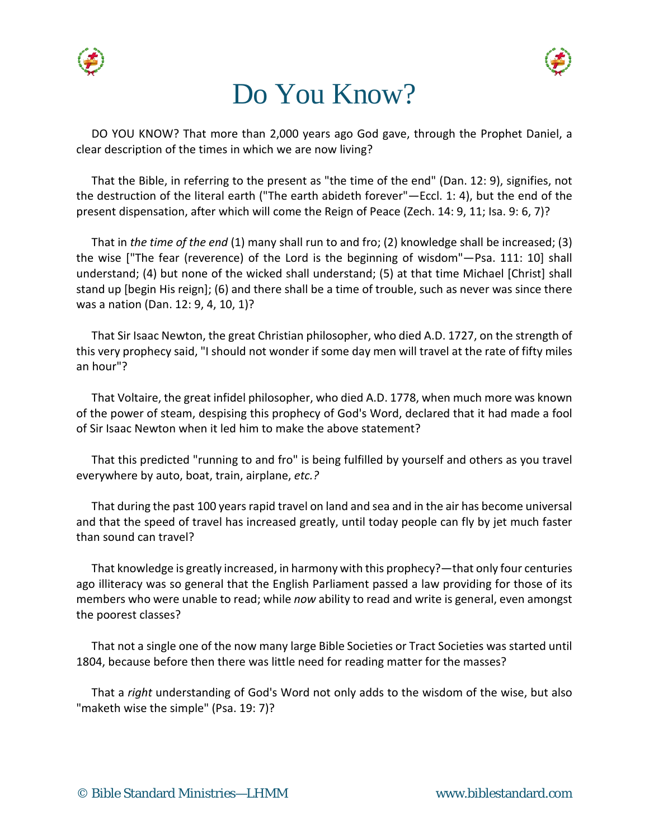





DO YOU KNOW? That more than 2,000 years ago God gave, through the Prophet Daniel, a clear description of the times in which we are now living?

That the Bible, in referring to the present as "the time of the end" (Dan. 12: 9), signifies, not the destruction of the literal earth ("The earth abideth forever"—Eccl. 1: 4), but the end of the present dispensation, after which will come the Reign of Peace (Zech. 14: 9, 11; Isa. 9: 6, 7)?

That in *the time of the end* (1) many shall run to and fro; (2) knowledge shall be increased; (3) the wise ["The fear (reverence) of the Lord is the beginning of wisdom"—Psa. 111: 10] shall understand; (4) but none of the wicked shall understand; (5) at that time Michael [Christ] shall stand up [begin His reign]; (6) and there shall be a time of trouble, such as never was since there was a nation (Dan. 12: 9, 4, 10, 1)?

That Sir Isaac Newton, the great Christian philosopher, who died A.D. 1727, on the strength of this very prophecy said, "I should not wonder if some day men will travel at the rate of fifty miles an hour"?

That Voltaire, the great infidel philosopher, who died A.D. 1778, when much more was known of the power of steam, despising this prophecy of God's Word, declared that it had made a fool of Sir Isaac Newton when it led him to make the above statement?

That this predicted "running to and fro" is being fulfilled by yourself and others as you travel everywhere by auto, boat, train, airplane, *etc.?*

That during the past 100 years rapid travel on land and sea and in the air has become universal and that the speed of travel has increased greatly, until today people can fly by jet much faster than sound can travel?

That knowledge is greatly increased, in harmony with this prophecy?—that only four centuries ago illiteracy was so general that the English Parliament passed a law providing for those of its members who were unable to read; while *now* ability to read and write is general, even amongst the poorest classes?

That not a single one of the now many large Bible Societies or Tract Societies was started until 1804, because before then there was little need for reading matter for the masses?

That a *right* understanding of God's Word not only adds to the wisdom of the wise, but also "maketh wise the simple" (Psa. 19: 7)?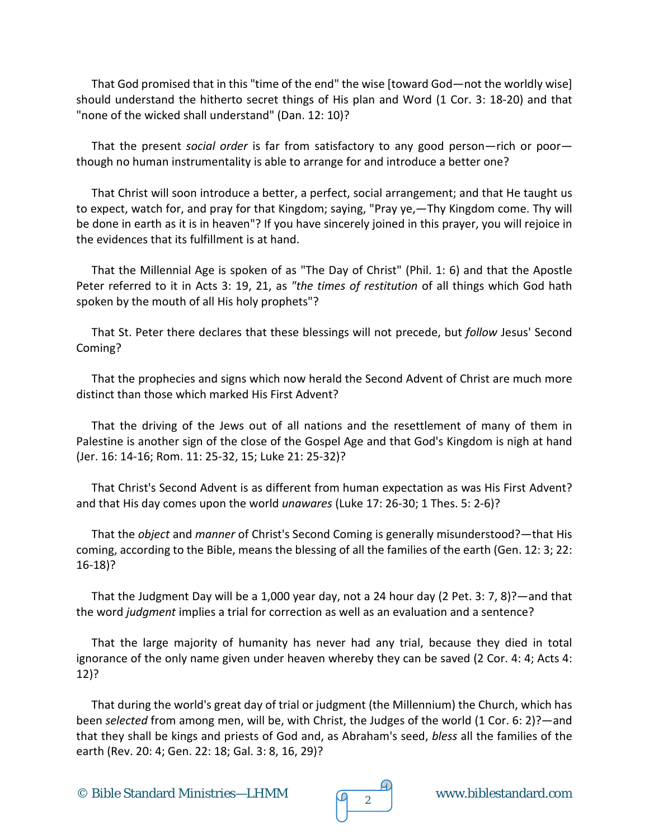That God promised that in this "time of the end" the wise [toward God—not the worldly wise] should understand the hitherto secret things of His plan and Word (1 Cor. 3: 18-20) and that "none of the wicked shall understand" (Dan. 12: 10)?

That the present *social order* is far from satisfactory to any good person—rich or poor though no human instrumentality is able to arrange for and introduce a better one?

That Christ will soon introduce a better, a perfect, social arrangement; and that He taught us to expect, watch for, and pray for that Kingdom; saying, "Pray ye,—Thy Kingdom come. Thy will be done in earth as it is in heaven"? If you have sincerely joined in this prayer, you will rejoice in the evidences that its fulfillment is at hand.

That the Millennial Age is spoken of as "The Day of Christ" (Phil. 1: 6) and that the Apostle Peter referred to it in Acts 3: 19, 21, as *"the times of restitution* of all things which God hath spoken by the mouth of all His holy prophets"?

That St. Peter there declares that these blessings will not precede, but *follow* Jesus' Second Coming?

That the prophecies and signs which now herald the Second Advent of Christ are much more distinct than those which marked His First Advent?

That the driving of the Jews out of all nations and the resettlement of many of them in Palestine is another sign of the close of the Gospel Age and that God's Kingdom is nigh at hand (Jer. 16: 14-16; Rom. 11: 25-32, 15; Luke 21: 25-32)?

That Christ's Second Advent is as different from human expectation as was His First Advent? and that His day comes upon the world *unawares* (Luke 17: 26-30; 1 Thes. 5: 2-6)?

That the *object* and *manner* of Christ's Second Coming is generally misunderstood?—that His coming, according to the Bible, means the blessing of all the families of the earth (Gen. 12: 3; 22: 16-18)?

That the Judgment Day will be a 1,000 year day, not a 24 hour day (2 Pet. 3: 7, 8)?—and that the word *judgment* implies a trial for correction as well as an evaluation and a sentence?

That the large majority of humanity has never had any trial, because they died in total ignorance of the only name given under heaven whereby they can be saved (2 Cor. 4: 4; Acts 4: 12)?

That during the world's great day of trial or judgment (the Millennium) the Church, which has been *selected* from among men, will be, with Christ, the Judges of the world (1 Cor. 6: 2)?—and that they shall be kings and priests of God and, as Abraham's seed, *bless* all the families of the earth (Rev. 20: 4; Gen. 22: 18; Gal. 3: 8, 16, 29)?

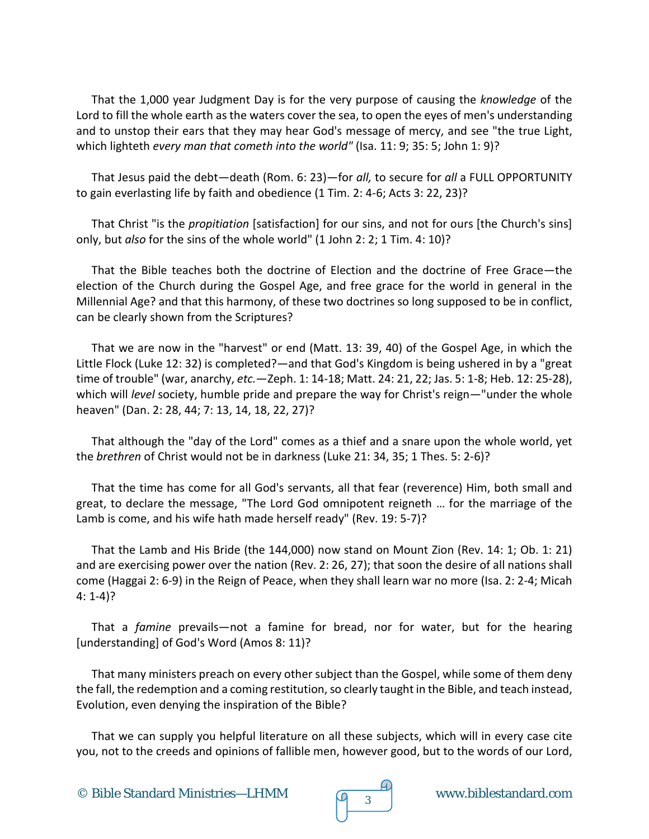That the 1,000 year Judgment Day is for the very purpose of causing the *knowledge* of the Lord to fill the whole earth as the waters cover the sea, to open the eyes of men's understanding and to unstop their ears that they may hear God's message of mercy, and see "the true Light, which lighteth *every man that cometh into the world"* (Isa. 11: 9; 35: 5; John 1: 9)?

That Jesus paid the debt—death (Rom. 6: 23)—for *all,* to secure for *all* a FULL OPPORTUNITY to gain everlasting life by faith and obedience (1 Tim. 2: 4-6; Acts 3: 22, 23)?

That Christ "is the *propitiation* [satisfaction] for our sins, and not for ours [the Church's sins] only, but *also* for the sins of the whole world" (1 John 2: 2; 1 Tim. 4: 10)?

That the Bible teaches both the doctrine of Election and the doctrine of Free Grace—the election of the Church during the Gospel Age, and free grace for the world in general in the Millennial Age? and that this harmony, of these two doctrines so long supposed to be in conflict, can be clearly shown from the Scriptures?

That we are now in the "harvest" or end (Matt. 13: 39, 40) of the Gospel Age, in which the Little Flock (Luke 12: 32) is completed?—and that God's Kingdom is being ushered in by a "great time of trouble" (war, anarchy, *etc.*—Zeph. 1: 14-18; Matt. 24: 21, 22; Jas. 5: 1-8; Heb. 12: 25-28), which will *level* society, humble pride and prepare the way for Christ's reign—"under the whole heaven" (Dan. 2: 28, 44; 7: 13, 14, 18, 22, 27)?

That although the "day of the Lord" comes as a thief and a snare upon the whole world, yet the *brethren* of Christ would not be in darkness (Luke 21: 34, 35; 1 Thes. 5: 2-6)?

That the time has come for all God's servants, all that fear (reverence) Him, both small and great, to declare the message, "The Lord God omnipotent reigneth … for the marriage of the Lamb is come, and his wife hath made herself ready" (Rev. 19: 5-7)?

That the Lamb and His Bride (the 144,000) now stand on Mount Zion (Rev. 14: 1; Ob. 1: 21) and are exercising power over the nation (Rev. 2: 26, 27); that soon the desire of all nations shall come (Haggai 2: 6-9) in the Reign of Peace, when they shall learn war no more (Isa. 2: 2-4; Micah 4: 1-4)?

That a *famine* prevails—not a famine for bread, nor for water, but for the hearing [understanding] of God's Word (Amos 8: 11)?

That many ministers preach on every other subject than the Gospel, while some of them deny the fall, the redemption and a coming restitution, so clearly taught in the Bible, and teach instead, Evolution, even denying the inspiration of the Bible?

That we can supply you helpful literature on all these subjects, which will in every case cite you, not to the creeds and opinions of fallible men, however good, but to the words of our Lord,